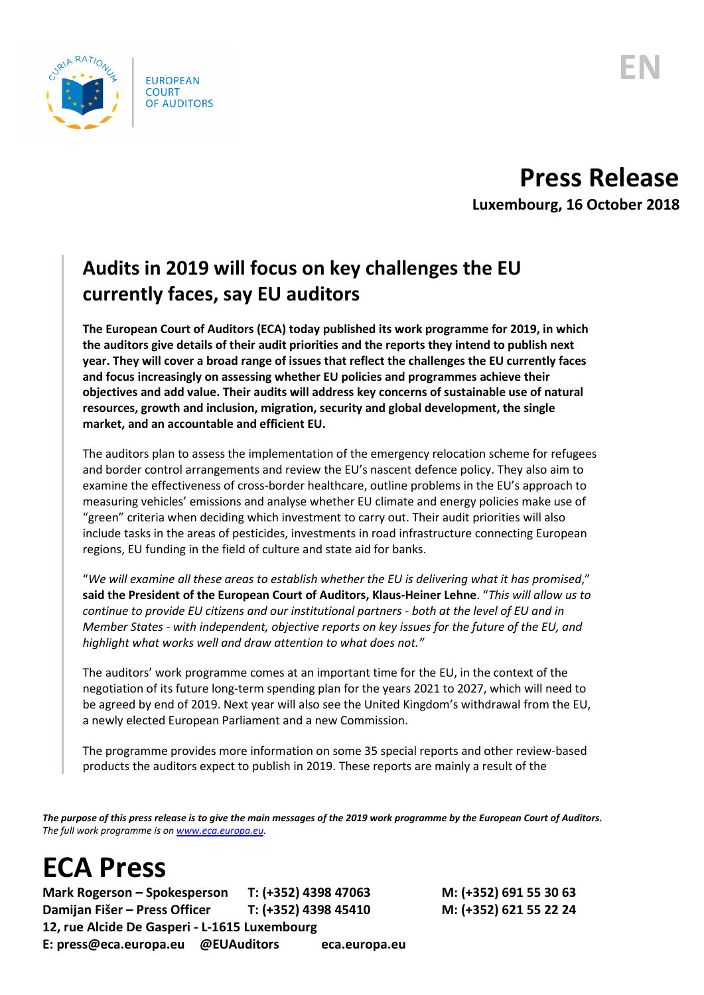

## **Press Release**

**Luxembourg, 16 October 2018**

## **Audits in 2019 will focus on key challenges the EU currently faces, say EU auditors**

**The European Court of Auditors (ECA) today published its work programme for 2019, in which the auditors give details of their audit priorities and the reports they intend to publish next year. They will cover a broad range of issues that reflect the challenges the EU currently faces and focus increasingly on assessing whether EU policies and programmes achieve their objectives and add value. Their audits will address key concerns of sustainable use of natural resources, growth and inclusion, migration, security and global development, the single market, and an accountable and efficient EU.** 

The auditors plan to assess the implementation of the emergency relocation scheme for refugees and border control arrangements and review the EU's nascent defence policy. They also aim to examine the effectiveness of cross-border healthcare, outline problems in the EU's approach to measuring vehicles' emissions and analyse whether EU climate and energy policies make use of "green" criteria when deciding which investment to carry out. Their audit priorities will also include tasks in the areas of pesticides, investments in road infrastructure connecting European regions, EU funding in the field of culture and state aid for banks.

"*We will examine all these areas to establish whether the EU is delivering what it has promised*," **said the President of the European Court of Auditors, Klaus-Heiner Lehne**. "*This will allow us to continue to provide EU citizens and our institutional partners - both at the level of EU and in Member States - with independent, objective reports on key issues for the future of the EU, and highlight what works well and draw attention to what does not."*

The auditors' work programme comes at an important time for the EU, in the context of the negotiation of its future long-term spending plan for the years 2021 to 2027, which will need to be agreed by end of 2019. Next year will also see the United Kingdom's withdrawal from the EU, a newly elected European Parliament and a new Commission.

The programme provides more information on some 35 special reports and other review-based products the auditors expect to publish in 2019. These reports are mainly a result of the

*The purpose of this press release is to give the main messages of the 2019 work programme by the European Court of Auditors. The full work programme is o[n www.eca.europa.eu.](http://www.eca.europa.eu/)*

## **ECA Press**

**Mark Rogerson – Spokesperson T: (+352) 4398 47063 M: (+352) 691 55 30 63 Damijan Fišer – Press Officer T: (+352) 4398 45410 M: (+352) 621 55 22 24 12, rue Alcide De Gasperi - L-1615 Luxembourg E: press@eca.europa.eu @EUAuditors eca.europa.eu**